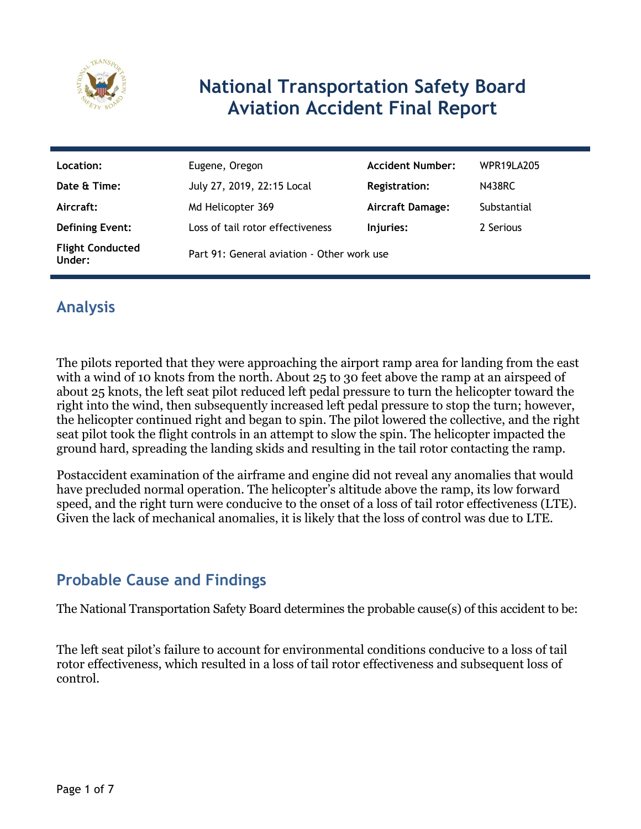

### **National Transportation Safety Board Aviation Accident Final Report**

| Location:                         | Eugene, Oregon                             | <b>Accident Number:</b> | <b>WPR19LA205</b> |
|-----------------------------------|--------------------------------------------|-------------------------|-------------------|
| Date & Time:                      | July 27, 2019, 22:15 Local                 | <b>Registration:</b>    | <b>N438RC</b>     |
| Aircraft:                         | Md Helicopter 369                          | <b>Aircraft Damage:</b> | Substantial       |
| <b>Defining Event:</b>            | Loss of tail rotor effectiveness           | Injuries:               | 2 Serious         |
| <b>Flight Conducted</b><br>Under: | Part 91: General aviation - Other work use |                         |                   |

### **Analysis**

The pilots reported that they were approaching the airport ramp area for landing from the east with a wind of 10 knots from the north. About 25 to 30 feet above the ramp at an airspeed of about 25 knots, the left seat pilot reduced left pedal pressure to turn the helicopter toward the right into the wind, then subsequently increased left pedal pressure to stop the turn; however, the helicopter continued right and began to spin. The pilot lowered the collective, and the right seat pilot took the flight controls in an attempt to slow the spin. The helicopter impacted the ground hard, spreading the landing skids and resulting in the tail rotor contacting the ramp.

Postaccident examination of the airframe and engine did not reveal any anomalies that would have precluded normal operation. The helicopter's altitude above the ramp, its low forward speed, and the right turn were conducive to the onset of a loss of tail rotor effectiveness (LTE). Given the lack of mechanical anomalies, it is likely that the loss of control was due to LTE.

### **Probable Cause and Findings**

The National Transportation Safety Board determines the probable cause(s) of this accident to be:

The left seat pilot's failure to account for environmental conditions conducive to a loss of tail rotor effectiveness, which resulted in a loss of tail rotor effectiveness and subsequent loss of control.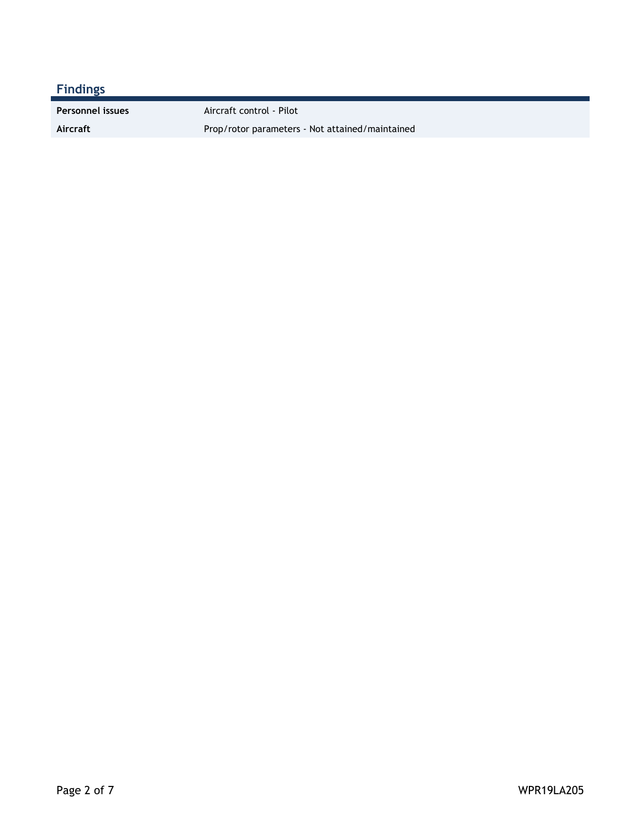### **Findings**

**Personnel issues** Aircraft control - Pilot

Aircraft **Aircraft** Prop/rotor parameters - Not attained/maintained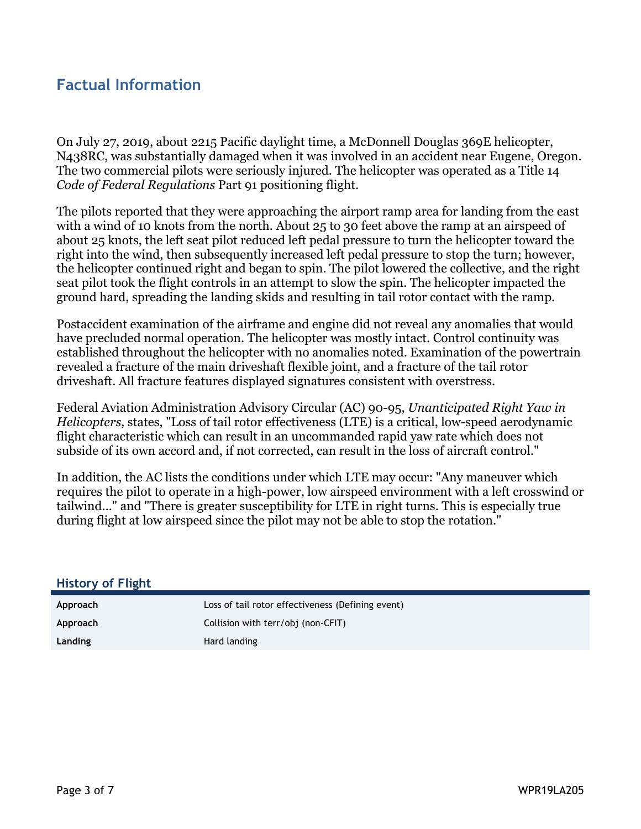#### **Factual Information**

On July 27, 2019, about 2215 Pacific daylight time, a McDonnell Douglas 369E helicopter, N438RC, was substantially damaged when it was involved in an accident near Eugene, Oregon. The two commercial pilots were seriously injured. The helicopter was operated as a Title 14 *Code of Federal Regulations* Part 91 positioning flight.

The pilots reported that they were approaching the airport ramp area for landing from the east with a wind of 10 knots from the north. About 25 to 30 feet above the ramp at an airspeed of about 25 knots, the left seat pilot reduced left pedal pressure to turn the helicopter toward the right into the wind, then subsequently increased left pedal pressure to stop the turn; however, the helicopter continued right and began to spin. The pilot lowered the collective, and the right seat pilot took the flight controls in an attempt to slow the spin. The helicopter impacted the ground hard, spreading the landing skids and resulting in tail rotor contact with the ramp.

Postaccident examination of the airframe and engine did not reveal any anomalies that would have precluded normal operation. The helicopter was mostly intact. Control continuity was established throughout the helicopter with no anomalies noted. Examination of the powertrain revealed a fracture of the main driveshaft flexible joint, and a fracture of the tail rotor driveshaft. All fracture features displayed signatures consistent with overstress.

Federal Aviation Administration Advisory Circular (AC) 90-95, *Unanticipated Right Yaw in Helicopters,* states, "Loss of tail rotor effectiveness (LTE) is a critical, low-speed aerodynamic flight characteristic which can result in an uncommanded rapid yaw rate which does not subside of its own accord and, if not corrected, can result in the loss of aircraft control."

In addition, the AC lists the conditions under which LTE may occur: "Any maneuver which requires the pilot to operate in a high-power, low airspeed environment with a left crosswind or tailwind…" and "There is greater susceptibility for LTE in right turns. This is especially true during flight at low airspeed since the pilot may not be able to stop the rotation."

| <b>History of Flight</b> |                                                   |
|--------------------------|---------------------------------------------------|
| Approach                 | Loss of tail rotor effectiveness (Defining event) |
| Approach                 | Collision with terr/obj (non-CFIT)                |
| Landing                  | Hard landing                                      |
|                          |                                                   |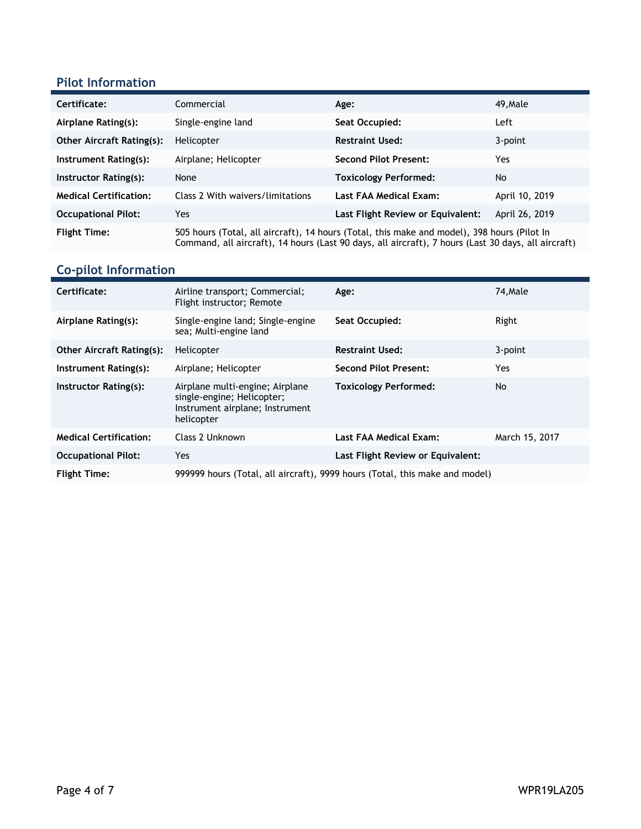#### **Pilot Information**

| Certificate:                     | Commercial                                                                                                                                                                                         | Age:                              | 49, Male       |
|----------------------------------|----------------------------------------------------------------------------------------------------------------------------------------------------------------------------------------------------|-----------------------------------|----------------|
| Airplane Rating(s):              | Single-engine land                                                                                                                                                                                 | Seat Occupied:                    | Left           |
| <b>Other Aircraft Rating(s):</b> | Helicopter                                                                                                                                                                                         | <b>Restraint Used:</b>            | 3-point        |
| Instrument Rating(s):            | Airplane; Helicopter                                                                                                                                                                               | <b>Second Pilot Present:</b>      | Yes            |
| Instructor Rating(s):            | None                                                                                                                                                                                               | <b>Toxicology Performed:</b>      | No             |
| <b>Medical Certification:</b>    | Class 2 With waivers/limitations                                                                                                                                                                   | Last FAA Medical Exam:            | April 10, 2019 |
| <b>Occupational Pilot:</b>       | Yes                                                                                                                                                                                                | Last Flight Review or Equivalent: | April 26, 2019 |
| <b>Flight Time:</b>              | 505 hours (Total, all aircraft), 14 hours (Total, this make and model), 398 hours (Pilot In<br>Command, all aircraft), 14 hours (Last 90 days, all aircraft), 7 hours (Last 30 days, all aircraft) |                                   |                |

# **Co-pilot Information**

| Certificate:                     | Airline transport; Commercial;<br>Flight instructor; Remote                                                    | Age:                              | 74, Male       |
|----------------------------------|----------------------------------------------------------------------------------------------------------------|-----------------------------------|----------------|
| Airplane Rating(s):              | Single-engine land; Single-engine<br>sea; Multi-engine land                                                    | Seat Occupied:                    | Right          |
| <b>Other Aircraft Rating(s):</b> | Helicopter                                                                                                     | <b>Restraint Used:</b>            | 3-point        |
| Instrument Rating(s):            | Airplane; Helicopter                                                                                           | <b>Second Pilot Present:</b>      | Yes            |
| Instructor Rating(s):            | Airplane multi-engine; Airplane<br>single-engine; Helicopter;<br>Instrument airplane; Instrument<br>helicopter | <b>Toxicology Performed:</b>      | No             |
| <b>Medical Certification:</b>    | Class 2 Unknown                                                                                                | Last FAA Medical Exam:            | March 15, 2017 |
| <b>Occupational Pilot:</b>       | Yes                                                                                                            | Last Flight Review or Equivalent: |                |
| <b>Flight Time:</b>              | 999999 hours (Total, all aircraft), 9999 hours (Total, this make and model)                                    |                                   |                |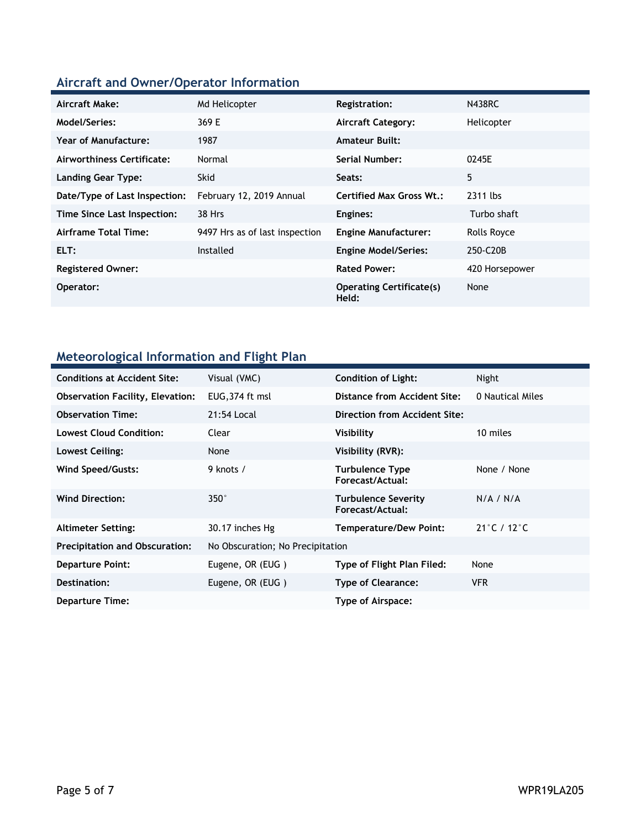### **Aircraft and Owner/Operator Information**

| Aircraft Make:                | Md Helicopter                  | <b>Registration:</b>                     | <b>N438RC</b>  |
|-------------------------------|--------------------------------|------------------------------------------|----------------|
| Model/Series:                 | 369 E                          | <b>Aircraft Category:</b>                | Helicopter     |
| <b>Year of Manufacture:</b>   | 1987                           | <b>Amateur Built:</b>                    |                |
| Airworthiness Certificate:    | Normal                         | Serial Number:                           | 0245E          |
| <b>Landing Gear Type:</b>     | <b>Skid</b>                    | Seats:                                   | 5              |
| Date/Type of Last Inspection: | February 12, 2019 Annual       | <b>Certified Max Gross Wt.:</b>          | 2311 lbs       |
| Time Since Last Inspection:   | 38 Hrs                         | Engines:                                 | Turbo shaft    |
| Airframe Total Time:          | 9497 Hrs as of last inspection | <b>Engine Manufacturer:</b>              | Rolls Royce    |
| ELT:                          | Installed                      | <b>Engine Model/Series:</b>              | 250-C20B       |
| <b>Registered Owner:</b>      |                                | <b>Rated Power:</b>                      | 420 Horsepower |
| Operator:                     |                                | <b>Operating Certificate(s)</b><br>Held: | None           |

### **Meteorological Information and Flight Plan**

| <b>Conditions at Accident Site:</b>     | Visual (VMC)                     | <b>Condition of Light:</b>                     | Night                            |
|-----------------------------------------|----------------------------------|------------------------------------------------|----------------------------------|
| <b>Observation Facility, Elevation:</b> | EUG, 374 ft msl                  | Distance from Accident Site:                   | 0 Nautical Miles                 |
| <b>Observation Time:</b>                | 21:54 Local                      | Direction from Accident Site:                  |                                  |
| <b>Lowest Cloud Condition:</b>          | Clear                            | Visibility                                     | 10 miles                         |
| Lowest Ceiling:                         | None                             | Visibility (RVR):                              |                                  |
| Wind Speed/Gusts:                       | 9 knots /                        | <b>Turbulence Type</b><br>Forecast/Actual:     | None / None                      |
| <b>Wind Direction:</b>                  | $350^\circ$                      | <b>Turbulence Severity</b><br>Forecast/Actual: | N/A / N/A                        |
| <b>Altimeter Setting:</b>               | 30.17 inches Hg                  | <b>Temperature/Dew Point:</b>                  | $21^{\circ}$ C / 12 $^{\circ}$ C |
| <b>Precipitation and Obscuration:</b>   | No Obscuration; No Precipitation |                                                |                                  |
| <b>Departure Point:</b>                 | Eugene, OR (EUG)                 | Type of Flight Plan Filed:                     | None                             |
| Destination:                            | Eugene, OR (EUG)                 | <b>Type of Clearance:</b>                      | <b>VFR</b>                       |
| Departure Time:                         |                                  | Type of Airspace:                              |                                  |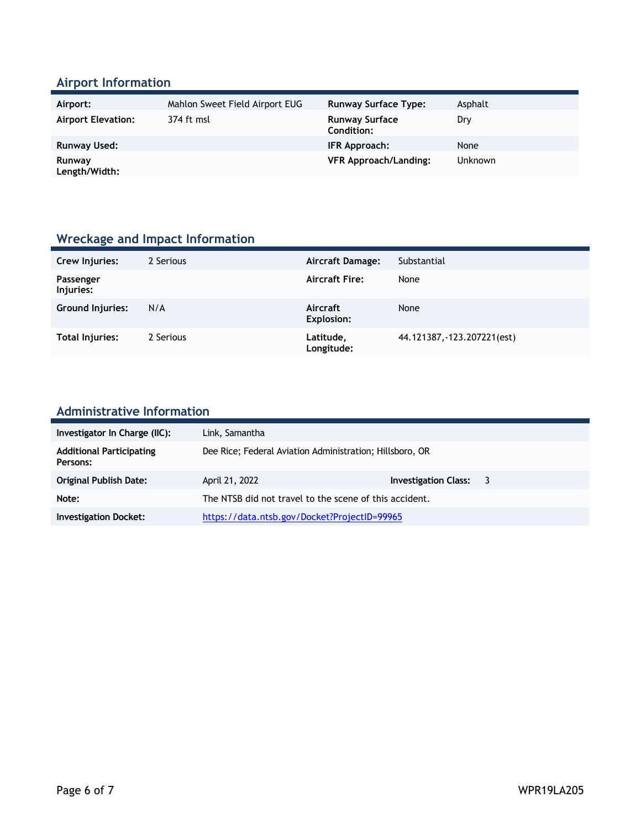### **Airport Information**

| Airport:                  | Mahlon Sweet Field Airport EUG | <b>Runway Surface Type:</b>         | Asphalt        |
|---------------------------|--------------------------------|-------------------------------------|----------------|
| <b>Airport Elevation:</b> | 374 ft msl                     | <b>Runway Surface</b><br>Condition: | Dry            |
| <b>Runway Used:</b>       |                                | IFR Approach:                       | None           |
| Runway<br>Length/Width:   |                                | <b>VFR Approach/Landing:</b>        | <b>Unknown</b> |

### **Wreckage and Impact Information**

| Crew Injuries:          | 2 Serious | Aircraft Damage:              | Substantial                 |
|-------------------------|-----------|-------------------------------|-----------------------------|
| Passenger<br>Injuries:  |           | <b>Aircraft Fire:</b>         | None                        |
| <b>Ground Injuries:</b> | N/A       | Aircraft<br><b>Explosion:</b> | None                        |
| <b>Total Injuries:</b>  | 2 Serious | Latitude,<br>Longitude:       | 44.121387, -123.207221(est) |

# **Administrative Information**

| Investigator In Charge (IIC):               | Link, Samantha                                           |                        |  |
|---------------------------------------------|----------------------------------------------------------|------------------------|--|
| <b>Additional Participating</b><br>Persons: | Dee Rice; Federal Aviation Administration; Hillsboro, OR |                        |  |
| <b>Original Publish Date:</b>               | April 21, 2022                                           | Investigation Class: 3 |  |
| Note:                                       | The NTSB did not travel to the scene of this accident.   |                        |  |
| <b>Investigation Docket:</b>                | https://data.ntsb.gov/Docket?ProjectID=99965             |                        |  |